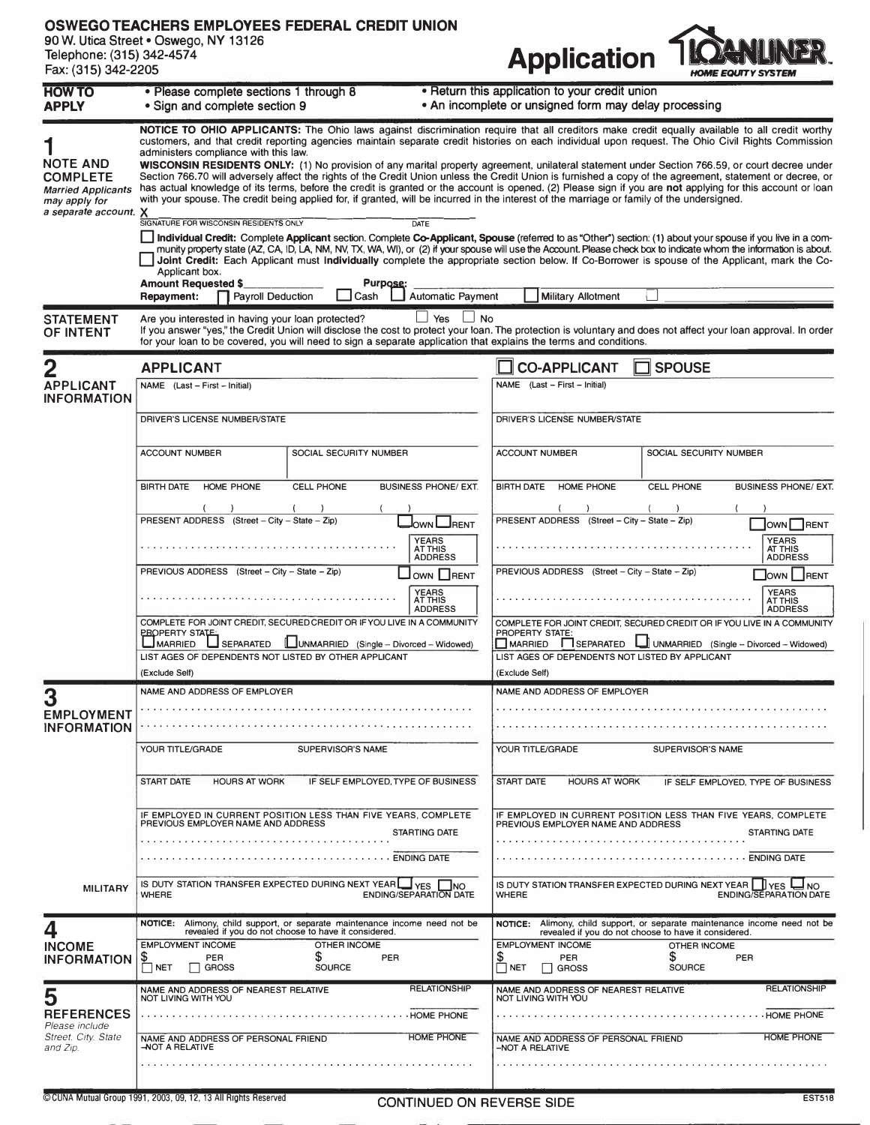## **OSWEGO TEACHERS EMPLOYEES FEDERAL CREDIT UNION**

**90 W. Utica Street• Oswego, NY 13126 Telephone: (315) 342-4574** 



| <b>HOW TO</b><br>APPLY                                                                                    | · Please complete sections 1 through 8<br>. Return this application to your credit union<br>• Sign and complete section 9<br>. An incomplete or unsigned form may delay processing                                                                                                                                                                                                                                                                                                                                                                                                                                                                                                                                                                                                                                                                                                                                                                                                                                                                                                                                                                                                                                                                                                                                                                                                                                                                                                                                                                                                                                                                                                             |                                                                                                                                                                                                                                |  |  |  |  |  |
|-----------------------------------------------------------------------------------------------------------|------------------------------------------------------------------------------------------------------------------------------------------------------------------------------------------------------------------------------------------------------------------------------------------------------------------------------------------------------------------------------------------------------------------------------------------------------------------------------------------------------------------------------------------------------------------------------------------------------------------------------------------------------------------------------------------------------------------------------------------------------------------------------------------------------------------------------------------------------------------------------------------------------------------------------------------------------------------------------------------------------------------------------------------------------------------------------------------------------------------------------------------------------------------------------------------------------------------------------------------------------------------------------------------------------------------------------------------------------------------------------------------------------------------------------------------------------------------------------------------------------------------------------------------------------------------------------------------------------------------------------------------------------------------------------------------------|--------------------------------------------------------------------------------------------------------------------------------------------------------------------------------------------------------------------------------|--|--|--|--|--|
| <b>NOTE AND</b><br><b>COMPLETE</b><br><b>Married Applicants</b><br>may apply for<br>a separate account. X | NOTICE TO OHIO APPLICANTS: The Ohio laws against discrimination require that all creditors make credit equally available to all credit worthy<br>customers, and that credit reporting agencies maintain separate credit histories on each individual upon request. The Ohio Civil Rights Commission<br>administers compliance with this law.<br>WISCONSIN RESIDENTS ONLY: (1) No provision of any marital property agreement, unilateral statement under Section 766.59, or court decree under<br>Section 766.70 will adversely affect the rights of the Credit Union unless the Credit Union is furnished a copy of the agreement, statement or decree, or<br>has actual knowledge of its terms, before the credit is granted or the account is opened. (2) Please sign if you are not applying for this account or loan<br>with your spouse. The credit being applied for, if granted, will be incurred in the interest of the marriage or family of the undersigned.<br>SIGNATURE FOR WISCONSIN RESIDENTS ONLY<br><b>DATE</b><br>Individual Credit: Complete Applicant section. Complete Co-Applicant, Spouse (referred to as "Other") section: (1) about your spouse if you live in a com-<br>munity property state (AZ, CA, ID, LA, NM, NV, TX, WA, WI), or (2) if your spouse will use the Account. Please check box to indicate whom the information is about.<br>Joint Credit: Each Applicant must individually complete the appropriate section below. If Co-Borrower is spouse of the Applicant, mark the Co-<br>Applicant box.<br><b>Amount Requested \$</b><br><b>Purpose:</b><br>Payroll Deduction<br>Repayment:<br><b>Automatic Payment</b><br>Cash<br><b>Military Allotment</b> |                                                                                                                                                                                                                                |  |  |  |  |  |
| <b>STATEMENT</b><br>OF INTENT                                                                             | ∐ Yes<br>$\Box$ No<br>Are you interested in having your loan protected?<br>for your loan to be covered, you will need to sign a separate application that explains the terms and conditions.                                                                                                                                                                                                                                                                                                                                                                                                                                                                                                                                                                                                                                                                                                                                                                                                                                                                                                                                                                                                                                                                                                                                                                                                                                                                                                                                                                                                                                                                                                   | If you answer "yes," the Credit Union will disclose the cost to protect your loan. The protection is voluntary and does not affect your loan approval. In order                                                                |  |  |  |  |  |
|                                                                                                           | <b>APPLICANT</b>                                                                                                                                                                                                                                                                                                                                                                                                                                                                                                                                                                                                                                                                                                                                                                                                                                                                                                                                                                                                                                                                                                                                                                                                                                                                                                                                                                                                                                                                                                                                                                                                                                                                               | <b>SPOUSE</b><br><b>CO-APPLICANT</b>                                                                                                                                                                                           |  |  |  |  |  |
| <b>APPLICANT</b><br><b>INFORMATION</b>                                                                    | NAME (Last - First - Initial)                                                                                                                                                                                                                                                                                                                                                                                                                                                                                                                                                                                                                                                                                                                                                                                                                                                                                                                                                                                                                                                                                                                                                                                                                                                                                                                                                                                                                                                                                                                                                                                                                                                                  | NAME (Last - First - Initial)                                                                                                                                                                                                  |  |  |  |  |  |
|                                                                                                           | DRIVER'S LICENSE NUMBER/STATE                                                                                                                                                                                                                                                                                                                                                                                                                                                                                                                                                                                                                                                                                                                                                                                                                                                                                                                                                                                                                                                                                                                                                                                                                                                                                                                                                                                                                                                                                                                                                                                                                                                                  | DRIVER'S LICENSE NUMBER/STATE                                                                                                                                                                                                  |  |  |  |  |  |
|                                                                                                           | SOCIAL SECURITY NUMBER<br><b>ACCOUNT NUMBER</b>                                                                                                                                                                                                                                                                                                                                                                                                                                                                                                                                                                                                                                                                                                                                                                                                                                                                                                                                                                                                                                                                                                                                                                                                                                                                                                                                                                                                                                                                                                                                                                                                                                                | <b>ACCOUNT NUMBER</b><br>SOCIAL SECURITY NUMBER                                                                                                                                                                                |  |  |  |  |  |
|                                                                                                           | <b>BIRTH DATE</b><br><b>HOME PHONE</b><br><b>CELL PHONE</b><br><b>BUSINESS PHONE/ EXT.</b>                                                                                                                                                                                                                                                                                                                                                                                                                                                                                                                                                                                                                                                                                                                                                                                                                                                                                                                                                                                                                                                                                                                                                                                                                                                                                                                                                                                                                                                                                                                                                                                                     | CELL PHONE<br><b>BIRTH DATE</b><br><b>HOME PHONE</b><br><b>BUSINESS PHONE/ EXT.</b>                                                                                                                                            |  |  |  |  |  |
|                                                                                                           | PRESENT ADDRESS (Street - City - State - Zip)<br>OWN LAENT<br><b>YEARS</b>                                                                                                                                                                                                                                                                                                                                                                                                                                                                                                                                                                                                                                                                                                                                                                                                                                                                                                                                                                                                                                                                                                                                                                                                                                                                                                                                                                                                                                                                                                                                                                                                                     | PRESENT ADDRESS (Street - City - State - Zip)<br>OWN RENT<br><b>YEARS</b>                                                                                                                                                      |  |  |  |  |  |
|                                                                                                           | AT THIS<br><b>ADDRESS</b><br>PREVIOUS ADDRESS (Street - City - State - Zip)<br>OWN <b>HENT</b>                                                                                                                                                                                                                                                                                                                                                                                                                                                                                                                                                                                                                                                                                                                                                                                                                                                                                                                                                                                                                                                                                                                                                                                                                                                                                                                                                                                                                                                                                                                                                                                                 | AT THIS<br><b>ADDRESS</b><br>PREVIOUS ADDRESS (Street - City - State - Zip)<br>OWN RENT                                                                                                                                        |  |  |  |  |  |
|                                                                                                           | <b>YEARS</b><br>AT THIS<br><b>ADDRESS</b>                                                                                                                                                                                                                                                                                                                                                                                                                                                                                                                                                                                                                                                                                                                                                                                                                                                                                                                                                                                                                                                                                                                                                                                                                                                                                                                                                                                                                                                                                                                                                                                                                                                      | <b>YEARS</b><br><b>AT THIS</b><br><b>ADDRESS</b>                                                                                                                                                                               |  |  |  |  |  |
|                                                                                                           | COMPLETE FOR JOINT CREDIT, SECURED CREDIT OR IF YOU LIVE IN A COMMUNITY<br><b>PROPERTY STATE:</b><br>$\Box$ MARRIED<br>SEPARATED<br>UNMARRIED (Single - Divorced - Widowed)<br>LIST AGES OF DEPENDENTS NOT LISTED BY OTHER APPLICANT<br>(Exclude Self)                                                                                                                                                                                                                                                                                                                                                                                                                                                                                                                                                                                                                                                                                                                                                                                                                                                                                                                                                                                                                                                                                                                                                                                                                                                                                                                                                                                                                                         | COMPLETE FOR JOINT CREDIT, SECURED CREDIT OR IF YOU LIVE IN A COMMUNITY<br>PROPERTY STATE:<br>MARRIED SEPARATED I UNMARRIED (Single - Divorced - Widowed)<br>LIST AGES OF DEPENDENTS NOT LISTED BY APPLICANT<br>(Exclude Self) |  |  |  |  |  |
|                                                                                                           | NAME AND ADDRESS OF EMPLOYER                                                                                                                                                                                                                                                                                                                                                                                                                                                                                                                                                                                                                                                                                                                                                                                                                                                                                                                                                                                                                                                                                                                                                                                                                                                                                                                                                                                                                                                                                                                                                                                                                                                                   |                                                                                                                                                                                                                                |  |  |  |  |  |
| <b>EMPLOYMENT</b>                                                                                         |                                                                                                                                                                                                                                                                                                                                                                                                                                                                                                                                                                                                                                                                                                                                                                                                                                                                                                                                                                                                                                                                                                                                                                                                                                                                                                                                                                                                                                                                                                                                                                                                                                                                                                | NAME AND ADDRESS OF EMPLOYER                                                                                                                                                                                                   |  |  |  |  |  |
| <b>INFORMATION</b>                                                                                        | YOUR TITLE/GRADE<br>SUPERVISOR'S NAME                                                                                                                                                                                                                                                                                                                                                                                                                                                                                                                                                                                                                                                                                                                                                                                                                                                                                                                                                                                                                                                                                                                                                                                                                                                                                                                                                                                                                                                                                                                                                                                                                                                          | YOUR TITLE/GRADE<br>SUPERVISOR'S NAME                                                                                                                                                                                          |  |  |  |  |  |
|                                                                                                           | <b>START DATE</b><br><b>HOURS AT WORK</b><br>IF SELF EMPLOYED, TYPE OF BUSINESS                                                                                                                                                                                                                                                                                                                                                                                                                                                                                                                                                                                                                                                                                                                                                                                                                                                                                                                                                                                                                                                                                                                                                                                                                                                                                                                                                                                                                                                                                                                                                                                                                | <b>START DATE</b><br><b>HOURS AT WORK</b><br>IF SELF EMPLOYED. TYPE OF BUSINESS                                                                                                                                                |  |  |  |  |  |
|                                                                                                           | IF EMPLOYED IN CURRENT POSITION LESS THAN FIVE YEARS, COMPLETE<br>PREVIOUS EMPLOYER NAME AND ADDRESS<br><b>STARTING DATE</b>                                                                                                                                                                                                                                                                                                                                                                                                                                                                                                                                                                                                                                                                                                                                                                                                                                                                                                                                                                                                                                                                                                                                                                                                                                                                                                                                                                                                                                                                                                                                                                   | IF EMPLOYED IN CURRENT POSITION LESS THAN FIVE YEARS, COMPLETE<br>PREVIOUS EMPLOYER NAME AND ADDRESS<br><b>STARTING DATE</b>                                                                                                   |  |  |  |  |  |
|                                                                                                           | <b>ENDING DATE</b>                                                                                                                                                                                                                                                                                                                                                                                                                                                                                                                                                                                                                                                                                                                                                                                                                                                                                                                                                                                                                                                                                                                                                                                                                                                                                                                                                                                                                                                                                                                                                                                                                                                                             | <b>ENDING DATE</b>                                                                                                                                                                                                             |  |  |  |  |  |
| <b>MILITARY</b>                                                                                           | IS DUTY STATION TRANSFER EXPECTED DURING NEXT YEAR<br>I INO<br>I YES<br>ENDING/SEPARATION DATE<br><b>WHERE</b>                                                                                                                                                                                                                                                                                                                                                                                                                                                                                                                                                                                                                                                                                                                                                                                                                                                                                                                                                                                                                                                                                                                                                                                                                                                                                                                                                                                                                                                                                                                                                                                 | IS DUTY STATION TRANSFER EXPECTED DURING NEXT YEAR   LIVES LINO<br><b>ENDING/SEPARATION DATE</b><br><b>WHERE</b>                                                                                                               |  |  |  |  |  |
|                                                                                                           |                                                                                                                                                                                                                                                                                                                                                                                                                                                                                                                                                                                                                                                                                                                                                                                                                                                                                                                                                                                                                                                                                                                                                                                                                                                                                                                                                                                                                                                                                                                                                                                                                                                                                                | NOTICE: Alimony, child support, or separate maintenance income need not be                                                                                                                                                     |  |  |  |  |  |
|                                                                                                           | NOTICE: Alimony, child support, or separate maintenance income need not be revealed if you do not choose to have it considered.                                                                                                                                                                                                                                                                                                                                                                                                                                                                                                                                                                                                                                                                                                                                                                                                                                                                                                                                                                                                                                                                                                                                                                                                                                                                                                                                                                                                                                                                                                                                                                | revealed if you do not choose to have it considered.                                                                                                                                                                           |  |  |  |  |  |
| <b>INCOME</b><br><b>INFORMATION</b>                                                                       | <b>EMPLOYMENT INCOME</b><br>OTHER INCOME<br>\$<br>$\sum_{N \in T}$<br>PER<br>PER<br><b>GROSS</b><br><b>SOURCE</b>                                                                                                                                                                                                                                                                                                                                                                                                                                                                                                                                                                                                                                                                                                                                                                                                                                                                                                                                                                                                                                                                                                                                                                                                                                                                                                                                                                                                                                                                                                                                                                              | <b>EMPLOYMENT INCOME</b><br><b>OTHER INCOME</b><br><u>\$</u><br>S<br>PER<br>PER<br>$\Box$ Net<br><b>SOURCE</b><br>  GROSS                                                                                                      |  |  |  |  |  |
| 5<br><b>REFERENCES</b>                                                                                    | <b>RELATIONSHIP</b><br>NAME AND ADDRESS OF NEAREST RELATIVE<br>NOT LIVING WITH YOU<br><b>HOME PHONE</b>                                                                                                                                                                                                                                                                                                                                                                                                                                                                                                                                                                                                                                                                                                                                                                                                                                                                                                                                                                                                                                                                                                                                                                                                                                                                                                                                                                                                                                                                                                                                                                                        | <b>RELATIONSHIP</b><br>NAME AND ADDRESS OF NEAREST RELATIVE<br>NOT LIVING WITH YOU<br><b>HOME PHONE</b>                                                                                                                        |  |  |  |  |  |
| Please include<br>Street. City. State<br>and Zip.                                                         | HOME PHONE<br>NAME AND ADDRESS OF PERSONAL FRIEND<br>-NOT A RELATIVE                                                                                                                                                                                                                                                                                                                                                                                                                                                                                                                                                                                                                                                                                                                                                                                                                                                                                                                                                                                                                                                                                                                                                                                                                                                                                                                                                                                                                                                                                                                                                                                                                           | HOME PHONE<br>NAME AND ADDRESS OF PERSONAL FRIEND<br>-NOT A RELATIVE                                                                                                                                                           |  |  |  |  |  |
|                                                                                                           |                                                                                                                                                                                                                                                                                                                                                                                                                                                                                                                                                                                                                                                                                                                                                                                                                                                                                                                                                                                                                                                                                                                                                                                                                                                                                                                                                                                                                                                                                                                                                                                                                                                                                                |                                                                                                                                                                                                                                |  |  |  |  |  |

**©CUNA Mutual Group 1991, 2003, 09, 12, 13 All Rights Reserved CONTINUED ON REVERSE SIDE EST518**